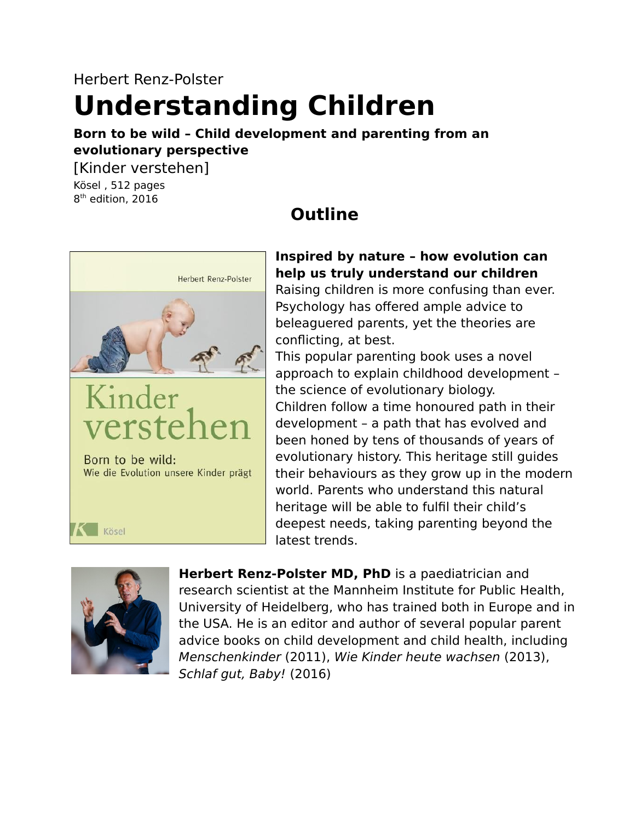# Herbert Renz-Polster

# **Understanding Children**

#### **Born to be wild – Child development and parenting from an evolutionary perspective**

**Outline**

[Kinder verstehen] Kösel , 512 pages 8 th edition, 2016

# Herbert Renz-Polster Kinder Born to be wild: Wie die Evolution unsere Kinder prägt

#### **Inspired by nature – how evolution can help us truly understand our children**

Raising children is more confusing than ever. Psychology has offered ample advice to beleaguered parents, yet the theories are conflicting, at best.

This popular parenting book uses a novel approach to explain childhood development – the science of evolutionary biology. Children follow a time honoured path in their development – a path that has evolved and been honed by tens of thousands of years of evolutionary history. This heritage still guides their behaviours as they grow up in the modern world. Parents who understand this natural heritage will be able to fulfil their child's deepest needs, taking parenting beyond the latest trends.



Kösel

**Herbert Renz-Polster MD, PhD** is a paediatrician and research scientist at the Mannheim Institute for Public Health, University of Heidelberg, who has trained both in Europe and in the USA. He is an editor and author of several popular parent advice books on child development and child health, including Menschenkinder (2011), Wie Kinder heute wachsen (2013), Schlaf gut, Baby! (2016)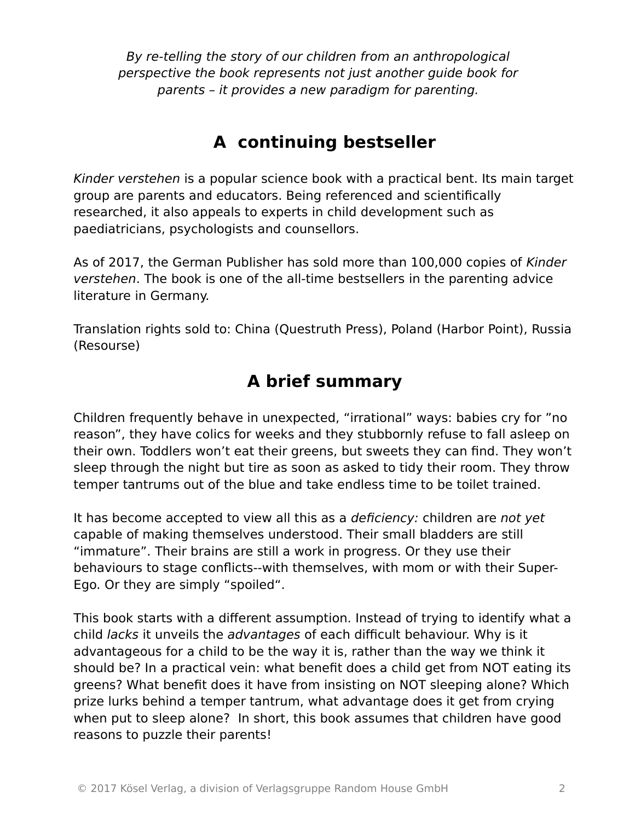By re-telling the story of our children from an anthropological perspective the book represents not just another guide book for parents – it provides a new paradigm for parenting.

# **A continuing bestseller**

Kinder verstehen is a popular science book with a practical bent. Its main target group are parents and educators. Being referenced and scientifically researched, it also appeals to experts in child development such as paediatricians, psychologists and counsellors.

As of 2017, the German Publisher has sold more than 100,000 copies of Kinder verstehen. The book is one of the all-time bestsellers in the parenting advice literature in Germany.

Translation rights sold to: China (Questruth Press), Poland (Harbor Point), Russia (Resourse)

# **A brief summary**

Children frequently behave in unexpected, "irrational" ways: babies cry for "no reason", they have colics for weeks and they stubbornly refuse to fall asleep on their own. Toddlers won't eat their greens, but sweets they can find. They won't sleep through the night but tire as soon as asked to tidy their room. They throw temper tantrums out of the blue and take endless time to be toilet trained.

It has become accepted to view all this as a *deficiency:* children are not yet capable of making themselves understood. Their small bladders are still "immature". Their brains are still a work in progress. Or they use their behaviours to stage conflicts--with themselves, with mom or with their Super-Ego. Or they are simply "spoiled".

This book starts with a different assumption. Instead of trying to identify what a child lacks it unveils the advantages of each difficult behaviour. Why is it advantageous for a child to be the way it is, rather than the way we think it should be? In a practical vein: what benefit does a child get from NOT eating its greens? What benefit does it have from insisting on NOT sleeping alone? Which prize lurks behind a temper tantrum, what advantage does it get from crying when put to sleep alone? In short, this book assumes that children have good reasons to puzzle their parents!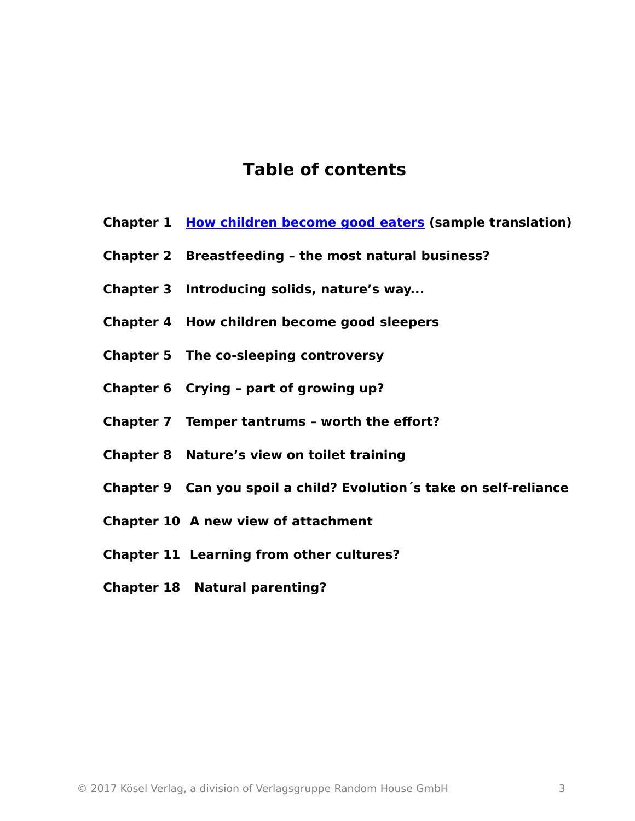### **Table of contents**

- **Chapter 1 [How children become good eaters](https://www.kinder-verstehen.de/wp-content/uploads/Learning_how_to_eat_a_Darwinian_perspective.pdf) (sample translation)**
- **Chapter 2 Breastfeeding the most natural business?**
- **Chapter 3 Introducing solids, nature's way...**
- **Chapter 4 How children become good sleepers**
- **Chapter 5 The co-sleeping controversy**
- **Chapter 6 Crying part of growing up?**
- **Chapter 7 Temper tantrums worth the effort?**
- **Chapter 8 Nature's view on toilet training**
- **Chapter 9 Can you spoil a child? Evolution´s take on self-reliance**
- **Chapter 10 A new view of attachment**
- **Chapter 11 Learning from other cultures?**
- **Chapter 18 Natural parenting?**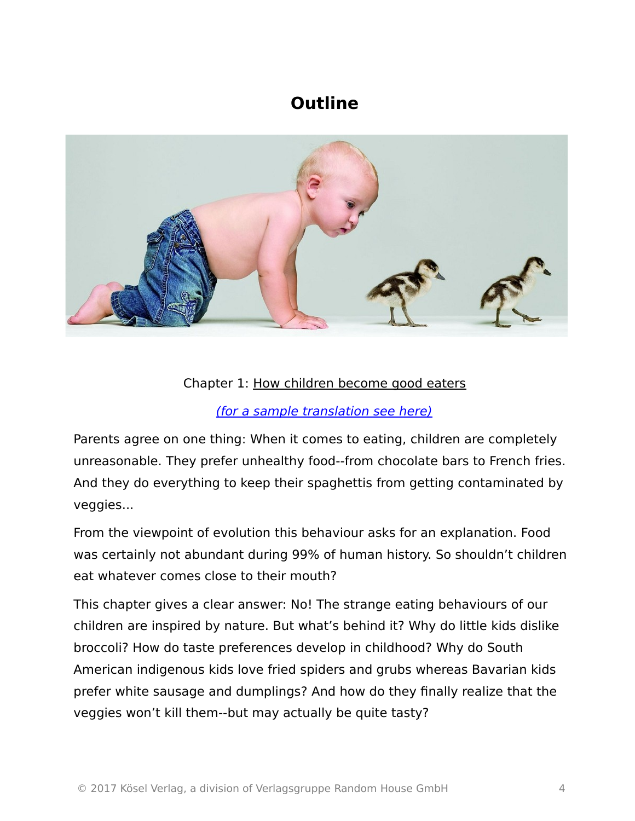# **Outline**



#### Chapter 1: [How children become good eaters](http://www.kinder-verstehen.de/kapitel01.html)

#### [\(for a sample translation see here\)](http://www.einfuegegelle.de/)

Parents agree on one thing: When it comes to eating, children are completely unreasonable. They prefer unhealthy food--from chocolate bars to French fries. And they do everything to keep their spaghettis from getting contaminated by veggies...

From the viewpoint of evolution this behaviour asks for an explanation. Food was certainly not abundant during 99% of human history. So shouldn't children eat whatever comes close to their mouth?

This chapter gives a clear answer: No! The strange eating behaviours of our children are inspired by nature. But what's behind it? Why do little kids dislike broccoli? How do taste preferences develop in childhood? Why do South American indigenous kids love fried spiders and grubs whereas Bavarian kids prefer white sausage and dumplings? And how do they finally realize that the veggies won't kill them--but may actually be quite tasty?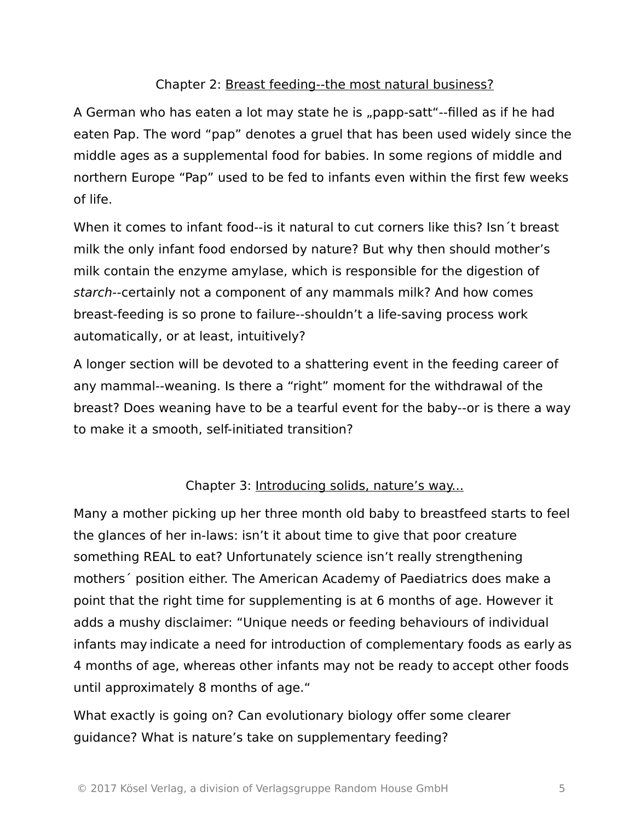#### Chapter 2: [Breast feeding--the most natural business?](http://www.kinder-verstehen.de/kapitel02.html)

A German who has eaten a lot may state he is "papp-satt"--filled as if he had eaten Pap. The word "pap" denotes a gruel that has been used widely since the middle ages as a supplemental food for babies. In some regions of middle and northern Europe "Pap" used to be fed to infants even within the first few weeks of life.

When it comes to infant food--is it natural to cut corners like this? Isn´t breast milk the only infant food endorsed by nature? But why then should mother's milk contain the enzyme amylase, which is responsible for the digestion of starch--certainly not a component of any mammals milk? And how comes breast-feeding is so prone to failure--shouldn't a life-saving process work automatically, or at least, intuitively?

A longer section will be devoted to a shattering event in the feeding career of any mammal--weaning. Is there a "right" moment for the withdrawal of the breast? Does weaning have to be a tearful event for the baby--or is there a way to make it a smooth, self-initiated transition?

#### Chapter 3: [Introducing solids, nature's way...](http://www.kinder-verstehen.de/kapitel03.html)

Many a mother picking up her three month old baby to breastfeed starts to feel the glances of her in-laws: isn't it about time to give that poor creature something REAL to eat? Unfortunately science isn't really strengthening mothers´ position either. The American Academy of Paediatrics does make a point that the right time for supplementing is at 6 months of age. However it adds a mushy disclaimer: "Unique needs or feeding behaviours of individual infants may indicate a need for introduction of complementary foods as early as 4 months of age, whereas other infants may not be ready to accept other foods until approximately 8 months of age."

What exactly is going on? Can evolutionary biology offer some clearer guidance? What is nature's take on supplementary feeding?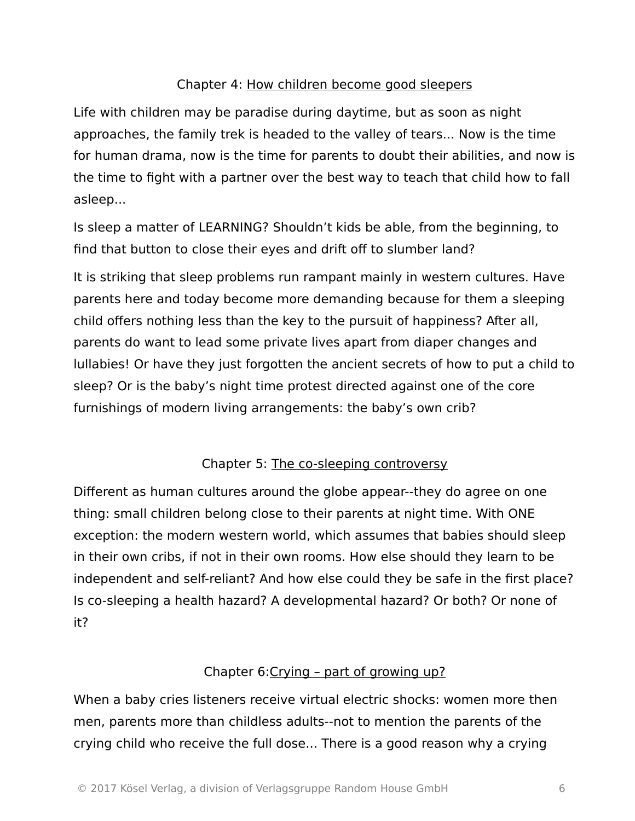#### Chapter 4: [How children become good sleepers](http://www.kinder-verstehen.de/kapitel04.html)

Life with children may be paradise during daytime, but as soon as night approaches, the family trek is headed to the valley of tears... Now is the time for human drama, now is the time for parents to doubt their abilities, and now is the time to fight with a partner over the best way to teach that child how to fall asleep...

Is sleep a matter of LEARNING? Shouldn't kids be able, from the beginning, to find that button to close their eyes and drift off to slumber land?

It is striking that sleep problems run rampant mainly in western cultures. Have parents here and today become more demanding because for them a sleeping child offers nothing less than the key to the pursuit of happiness? After all, parents do want to lead some private lives apart from diaper changes and lullabies! Or have they just forgotten the ancient secrets of how to put a child to sleep? Or is the baby's night time protest directed against one of the core furnishings of modern living arrangements: the baby's own crib?

#### Chapter 5: [The co-sleeping controversy](http://www.kinder-verstehen.de/kapitel05.html)

Different as human cultures around the globe appear--they do agree on one thing: small children belong close to their parents at night time. With ONE exception: the modern western world, which assumes that babies should sleep in their own cribs, if not in their own rooms. How else should they learn to be independent and self-reliant? And how else could they be safe in the first place? Is co-sleeping a health hazard? A developmental hazard? Or both? Or none of it?

#### Chapter 6[:Crying – part of growing up?](http://www.kinder-verstehen.de/kapitel06.html)

When a baby cries listeners receive virtual electric shocks: women more then men, parents more than childless adults--not to mention the parents of the crying child who receive the full dose... There is a good reason why a crying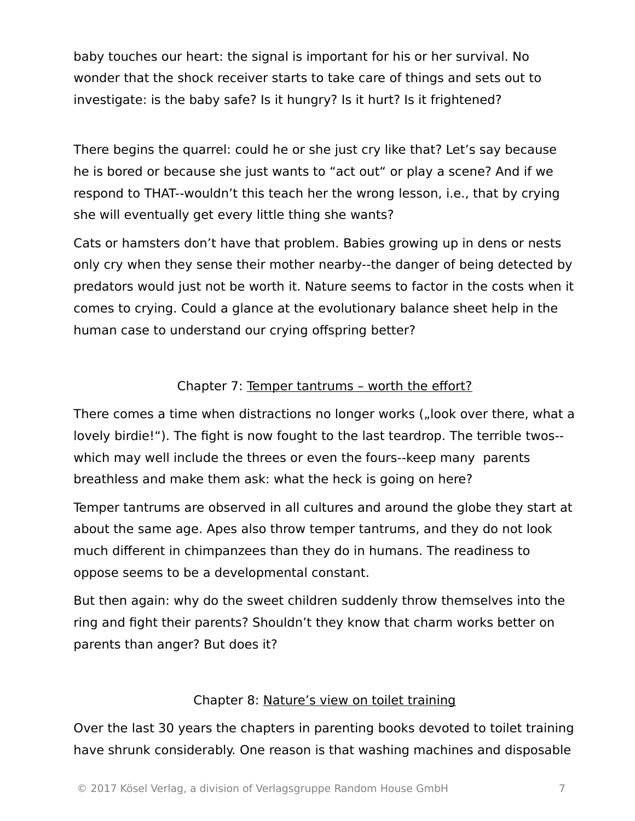baby touches our heart: the signal is important for his or her survival. No wonder that the shock receiver starts to take care of things and sets out to investigate: is the baby safe? Is it hungry? Is it hurt? Is it frightened?

There begins the quarrel: could he or she just cry like that? Let's say because he is bored or because she just wants to "act out" or play a scene? And if we respond to THAT--wouldn't this teach her the wrong lesson, i.e., that by crying she will eventually get every little thing she wants?

Cats or hamsters don't have that problem. Babies growing up in dens or nests only cry when they sense their mother nearby--the danger of being detected by predators would just not be worth it. Nature seems to factor in the costs when it comes to crying. Could a glance at the evolutionary balance sheet help in the human case to understand our crying offspring better?

#### Chapter 7: [Temper tantrums – worth the effort?](http://www.kinder-verstehen.de/kapitel07.html)

There comes a time when distractions no longer works ("look over there, what a lovely birdie!"). The fight is now fought to the last teardrop. The terrible twos- which may well include the threes or even the fours--keep many parents breathless and make them ask: what the heck is going on here?

Temper tantrums are observed in all cultures and around the globe they start at about the same age. Apes also throw temper tantrums, and they do not look much different in chimpanzees than they do in humans. The readiness to oppose seems to be a developmental constant.

But then again: why do the sweet children suddenly throw themselves into the ring and fight their parents? Shouldn't they know that charm works better on parents than anger? But does it?

#### Chapter 8: [Nature's view on toilet training](http://www.kinder-verstehen.de/kapitel08.html)

Over the last 30 years the chapters in parenting books devoted to toilet training have shrunk considerably. One reason is that washing machines and disposable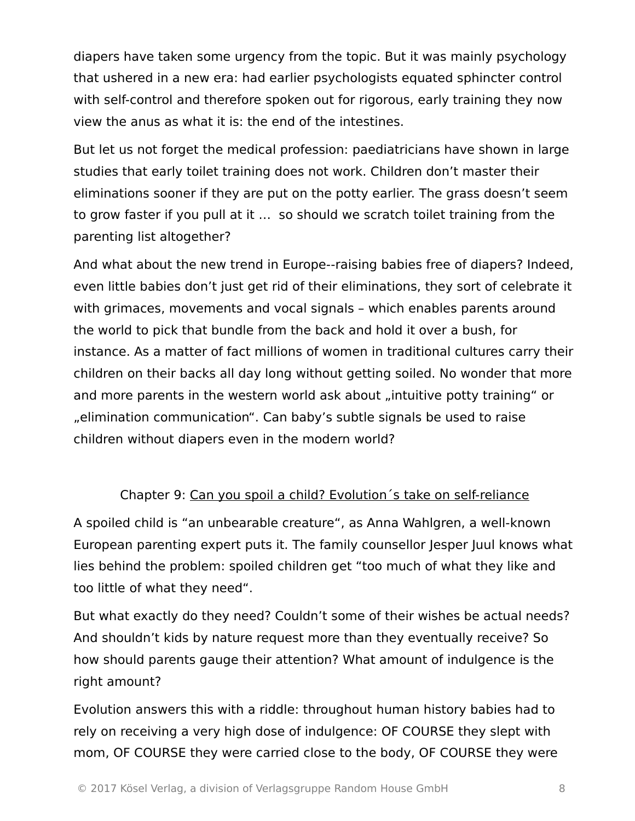diapers have taken some urgency from the topic. But it was mainly psychology that ushered in a new era: had earlier psychologists equated sphincter control with self-control and therefore spoken out for rigorous, early training they now view the anus as what it is: the end of the intestines.

But let us not forget the medical profession: paediatricians have shown in large studies that early toilet training does not work. Children don't master their eliminations sooner if they are put on the potty earlier. The grass doesn't seem to grow faster if you pull at it … so should we scratch toilet training from the parenting list altogether?

And what about the new trend in Europe--raising babies free of diapers? Indeed, even little babies don't just get rid of their eliminations, they sort of celebrate it with grimaces, movements and vocal signals – which enables parents around the world to pick that bundle from the back and hold it over a bush, for instance. As a matter of fact millions of women in traditional cultures carry their children on their backs all day long without getting soiled. No wonder that more and more parents in the western world ask about "intuitive potty training" or ", elimination communication". Can baby's subtle signals be used to raise children without diapers even in the modern world?

#### Chapter 9: Can you spoil a child? Evolution´s take on self-reliance

A spoiled child is "an unbearable creature", as Anna Wahlgren, a well-known European parenting expert puts it. The family counsellor Jesper Juul knows what lies behind the problem: spoiled children get "too much of what they like and too little of what they need".

But what exactly do they need? Couldn't some of their wishes be actual needs? And shouldn't kids by nature request more than they eventually receive? So how should parents gauge their attention? What amount of indulgence is the right amount?

Evolution answers this with a riddle: throughout human history babies had to rely on receiving a very high dose of indulgence: OF COURSE they slept with mom, OF COURSE they were carried close to the body, OF COURSE they were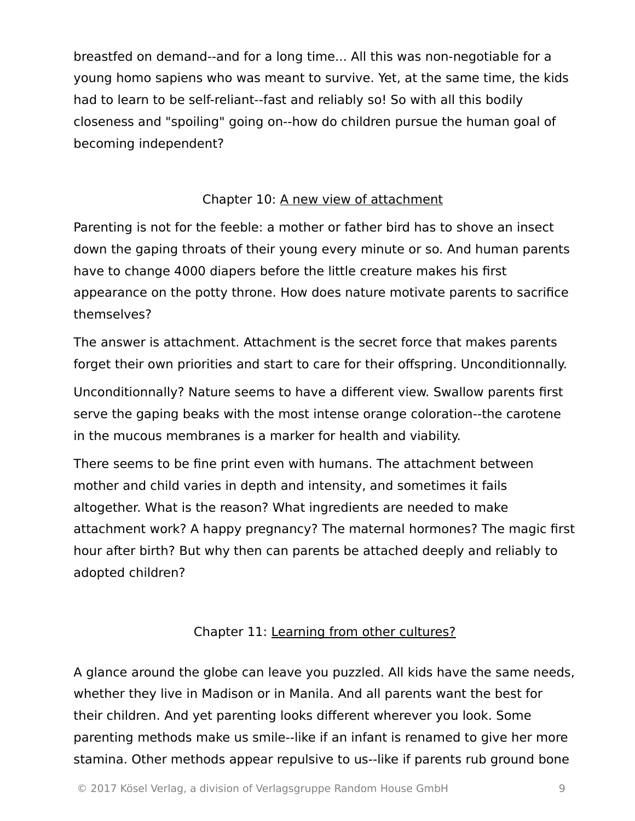breastfed on demand--and for a long time... All this was non-negotiable for a young homo sapiens who was meant to survive. Yet, at the same time, the kids had to learn to be self-reliant--fast and reliably so! So with all this bodily closeness and "spoiling" going on--how do children pursue the human goal of becoming independent?

#### Chapter 10: [A new view of attachment](http://www.kinder-verstehen.de/kapitel10.html)

Parenting is not for the feeble: a mother or father bird has to shove an insect down the gaping throats of their young every minute or so. And human parents have to change 4000 diapers before the little creature makes his first appearance on the potty throne. How does nature motivate parents to sacrifice themselves?

The answer is attachment. Attachment is the secret force that makes parents forget their own priorities and start to care for their offspring. Unconditionnally.

Unconditionnally? Nature seems to have a different view. Swallow parents first serve the gaping beaks with the most intense orange coloration--the carotene in the mucous membranes is a marker for health and viability.

There seems to be fine print even with humans. The attachment between mother and child varies in depth and intensity, and sometimes it fails altogether. What is the reason? What ingredients are needed to make attachment work? A happy pregnancy? The maternal hormones? The magic first hour after birth? But why then can parents be attached deeply and reliably to adopted children?

#### Chapter 11: [Learning from other cultures?](http://www.kinder-verstehen.de/kapitel17.html)

A glance around the globe can leave you puzzled. All kids have the same needs, whether they live in Madison or in Manila. And all parents want the best for their children. And yet parenting looks different wherever you look. Some parenting methods make us smile--like if an infant is renamed to give her more stamina. Other methods appear repulsive to us--like if parents rub ground bone